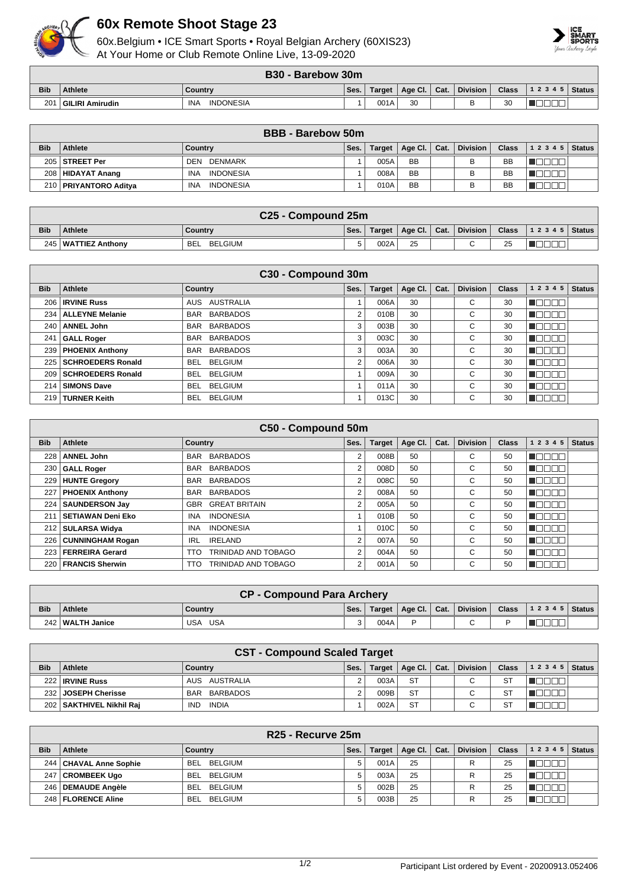

## **60x Remote Shoot Stage 23**

60x.Belgium • ICE Smart Sports • Royal Belgian Archery (60XIS23) At Your Home or Club Remote Online Live, 13-09-2020



|            | B30 - Barebow 30m |                                |      |        |         |      |                 |              |                |  |  |
|------------|-------------------|--------------------------------|------|--------|---------|------|-----------------|--------------|----------------|--|--|
| <b>Bib</b> | <b>Athlete</b>    | <b>Country</b>                 | Ses. | Target | Age Cl. | Cat. | <b>Division</b> | <b>Class</b> | $12345$ Status |  |  |
| 201        | GILIRI Amirudin   | <b>INA</b><br><b>INDONESIA</b> |      | 001A   | 30      |      |                 | 30           |                |  |  |

|            | <b>BBB</b> - Barebow 50m |                         |      |               |           |      |                 |              |       |               |  |
|------------|--------------------------|-------------------------|------|---------------|-----------|------|-----------------|--------------|-------|---------------|--|
| <b>Bib</b> | <b>Athlete</b>           | Country                 | Ses. | <b>Target</b> | Age Cl.   | Cat. | <b>Division</b> | <b>Class</b> | 12345 | <b>Status</b> |  |
|            | 205   STREET Per         | DENMARK<br>DEN          |      | 005A          | <b>BB</b> |      |                 | <b>BB</b>    |       |               |  |
|            | 208   HIDAYAT Anang      | <b>INDONESIA</b><br>INA |      | 008A          | <b>BB</b> |      |                 | <b>BB</b>    |       |               |  |
|            | 210   PRIYANTORO Aditya  | <b>INDONESIA</b><br>INA |      | 010A          | <b>BB</b> |      |                 | <b>BB</b>    |       |               |  |

|            | C25 - Compound 25m  |                       |      |      |                                       |  |              |              |                  |  |  |
|------------|---------------------|-----------------------|------|------|---------------------------------------|--|--------------|--------------|------------------|--|--|
| <b>Bib</b> | Athlete             | Country               | Ses. |      | Target   Age Cl. $\vert$ Cat. $\vert$ |  | ∣ Division I | <b>Class</b> | $ 12345 $ Status |  |  |
| 245        | 5   WATTIEZ Anthony | BELGIUM<br><b>BEL</b> |      | 002A | 25                                    |  |              | 25           |                  |  |  |

|            | C30 - Compound 30m       |                               |      |               |         |      |                 |              |           |               |  |  |
|------------|--------------------------|-------------------------------|------|---------------|---------|------|-----------------|--------------|-----------|---------------|--|--|
| <b>Bib</b> | Athlete                  | Country                       | Ses. | <b>Target</b> | Age Cl. | Cat. | <b>Division</b> | <b>Class</b> | 1 2 3 4 5 | <b>Status</b> |  |  |
| 206        | <b>IRVINE Russ</b>       | AUS AUSTRALIA                 |      | 006A          | 30      |      | $\sim$<br>◡     | 30           |           |               |  |  |
| 234        | <b>ALLEYNE Melanie</b>   | <b>BARBADOS</b><br><b>BAR</b> | 2    | 010B          | 30      |      | C               | 30           |           |               |  |  |
|            | 240   ANNEL John         | <b>BARBADOS</b><br><b>BAR</b> | 3    | 003B          | 30      |      | C               | 30           |           |               |  |  |
| 241        | <b>GALL Roger</b>        | <b>BARBADOS</b><br><b>BAR</b> | 3    | 003C          | 30      |      | С               | 30           |           |               |  |  |
| 239        | <b>PHOENIX Anthony</b>   | <b>BARBADOS</b><br><b>BAR</b> | 3    | 003A          | 30      |      | C               | 30           |           |               |  |  |
| 225        | <b>SCHROEDERS Ronald</b> | <b>BELGIUM</b><br><b>BEL</b>  | 2    | 006A          | 30      |      | С               | 30           | N E E E E |               |  |  |
| 209        | <b>SCHROEDERS Ronald</b> | <b>BELGIUM</b><br><b>BEL</b>  |      | 009A          | 30      |      | С               | 30           |           |               |  |  |
| 214        | <b>SIMONS Dave</b>       | <b>BELGIUM</b><br><b>BEL</b>  |      | 011A          | 30      |      | С               | 30           |           |               |  |  |
| 219        | <b>TURNER Keith</b>      | <b>BELGIUM</b><br><b>BEL</b>  |      | 013C          | 30      |      | С               | 30           |           |               |  |  |

|            | C50 - Compound 50m       |                                          |      |               |         |      |                 |              |           |               |  |  |
|------------|--------------------------|------------------------------------------|------|---------------|---------|------|-----------------|--------------|-----------|---------------|--|--|
| <b>Bib</b> | Athlete                  | Country                                  | Ses. | <b>Target</b> | Age CI. | Cat. | <b>Division</b> | <b>Class</b> | 1 2 3 4 5 | <b>Status</b> |  |  |
| 228        | <b>ANNEL John</b>        | <b>BARBADOS</b><br><b>BAR</b>            | 2    | 008B          | 50      |      | С               | 50           | - II      |               |  |  |
| 230        | <b>GALL Roger</b>        | <b>BARBADOS</b><br><b>BAR</b>            | 2    | 008D          | 50      |      | С               | 50           |           |               |  |  |
| 229        | <b>HUNTE Gregory</b>     | <b>BARBADOS</b><br><b>BAR</b>            | 2    | 008C          | 50      |      | С               | 50           |           |               |  |  |
| 227        | <b>PHOENIX Anthony</b>   | <b>BARBADOS</b><br><b>BAR</b>            | 2    | 008A          | 50      |      | С               | 50           |           |               |  |  |
| 224        | <b>SAUNDERSON Jav</b>    | <b>GREAT BRITAIN</b><br><b>GBR</b>       | 2    | 005A          | 50      |      | C               | 50           |           |               |  |  |
| 21'        | <b>SETIAWAN Deni Eko</b> | <b>INDONESIA</b><br><b>INA</b>           |      | 010B          | 50      |      | C               | 50           |           |               |  |  |
| 212 l      | <b>SULARSA Widya</b>     | <b>INDONESIA</b><br><b>INA</b>           |      | 010C          | 50      |      | C.              | 50           |           |               |  |  |
| 226        | <b>CUNNINGHAM Rogan</b>  | <b>IRELAND</b><br><b>IRL</b>             | 2    | 007A          | 50      |      | С               | 50           |           |               |  |  |
| 223        | <b>FERREIRA Gerard</b>   | TRINIDAD AND TOBAGO<br><b>TTO</b>        | 2    | 004A          | 50      |      | C               | 50           |           |               |  |  |
| 220        | <b>FRANCIS Sherwin</b>   | <b>TRINIDAD AND TOBAGO</b><br><b>TTO</b> | 2    | 001A          | 50      |      | С               | 50           |           |               |  |  |

| <b>CP - Compound Para Archery</b> |                    |                |        |      |                         |  |                                        |  |                                |  |
|-----------------------------------|--------------------|----------------|--------|------|-------------------------|--|----------------------------------------|--|--------------------------------|--|
| <b>Bib</b>                        | <b>Athlete</b>     | <b>Country</b> | Ses.   |      | Target   Age Cl.   Cat. |  | $\therefore$ Division $\triangleright$ |  | Class $\vert$ 1 2 3 4 5 Status |  |
|                                   | 242   WALTH Janice | USA<br>USA     | $\sim$ | 004A |                         |  |                                        |  |                                |  |

|            | <b>CST - Compound Scaled Target</b> |                            |      |               |                 |      |                          |              |                |  |  |
|------------|-------------------------------------|----------------------------|------|---------------|-----------------|------|--------------------------|--------------|----------------|--|--|
| <b>Bib</b> | <b>Athlete</b>                      | Country                    | Ses. | <b>Target</b> | Age Cl. $\vert$ | Cat. | <b>Division</b>          | <b>Class</b> | $12345$ Status |  |  |
|            | 222 <b>IRVINE Russ</b>              | AUS AUSTRALIA              |      | 003A          | <b>ST</b>       |      | C                        | <b>ST</b>    |                |  |  |
|            | 232 JOSEPH Cherisse                 | BARBADOS<br>BAR            |      | 009B          | <b>ST</b>       |      | $\overline{\phantom{0}}$ | <b>ST</b>    |                |  |  |
|            | 202   SAKTHIVEL Nikhil Rai          | <b>INDIA</b><br><b>IND</b> |      | 002A          | <b>ST</b>       |      | ⌒                        | <b>ST</b>    |                |  |  |

|            | R <sub>25</sub> - Recurve 25m |                              |      |               |         |      |                 |              |           |               |  |
|------------|-------------------------------|------------------------------|------|---------------|---------|------|-----------------|--------------|-----------|---------------|--|
| <b>Bib</b> | <b>Athlete</b>                | Country                      | Ses. | <b>Target</b> | Age Cl. | Cat. | <b>Division</b> | <b>Class</b> | 1 2 3 4 5 | <b>Status</b> |  |
|            | 244   CHAVAL Anne Sophie      | <b>BELGIUM</b><br><b>BEL</b> | 5    | 001A          | 25      |      | R               | 25           |           |               |  |
|            | 247   CROMBEEK Ugo            | <b>BEL</b><br>BELGIUM        |      | 003A          | 25      |      | R               | 25           |           |               |  |
|            | 246   DEMAUDE Angèle          | <b>BEL</b><br>BELGIUM        |      | 002B          | 25      |      | R               | 25           |           |               |  |
|            | 248   FLORENCE Aline          | BELGIUM<br><b>BEL</b>        |      | 003B          | 25      |      | R               | 25           |           |               |  |